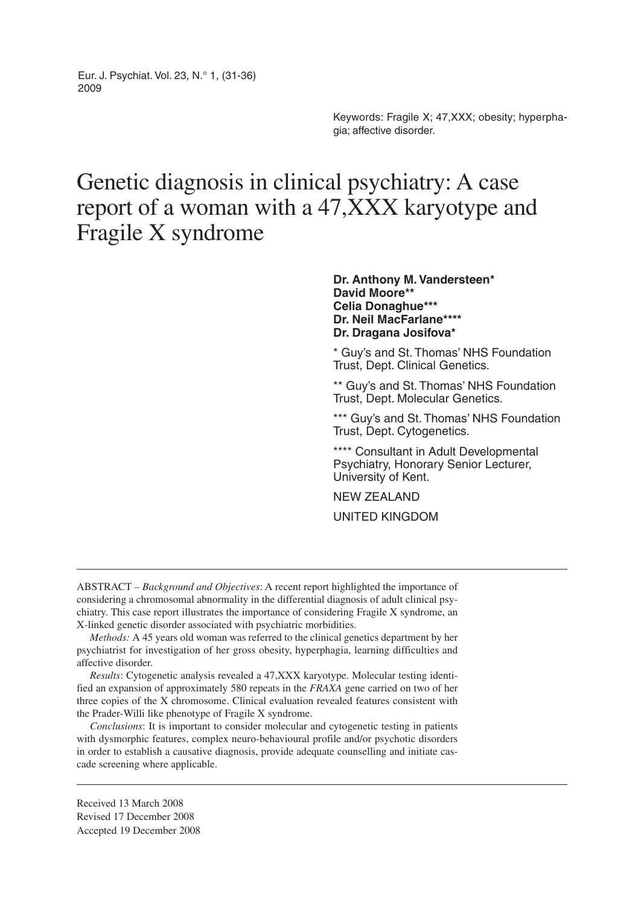Eur. J. Psychiat. Vol. 23, N.° 1, (31-36) 2009

> Keywords: Fragile X; 47,XXX; obesity; hyperphagia; affective disorder.

# Genetic diagnosis in clinical psychiatry: A case report of a woman with a 47,XXX karyotype and Fragile X syndrome

#### **Dr. Anthony M. Vandersteen\* David Moore\*\* Celia Donaghue\*\*\* Dr. Neil MacFarlane\*\*\*\* Dr. Dragana Josifova\***

\* Guy's and St. Thomas' NHS Foundation Trust, Dept. Clinical Genetics.

\*\* Guy's and St. Thomas' NHS Foundation Trust, Dept. Molecular Genetics.

\*\*\* Guy's and St. Thomas' NHS Foundation Trust, Dept. Cytogenetics.

\*\*\*\* Consultant in Adult Developmental Psychiatry, Honorary Senior Lecturer, University of Kent.

NEW ZEALAND

UNITED KINGDOM

ABSTRACT – *Background and Objectives*: A recent report highlighted the importance of considering a chromosomal abnormality in the differential diagnosis of adult clinical psychiatry. This case report illustrates the importance of considering Fragile X syndrome, an X-linked genetic disorder associated with psychiatric morbidities.

*Methods:* A 45 years old woman was referred to the clinical genetics department by her psychiatrist for investigation of her gross obesity, hyperphagia, learning difficulties and affective disorder.

*Results*: Cytogenetic analysis revealed a 47,XXX karyotype. Molecular testing identified an expansion of approximately 580 repeats in the *FRAXA* gene carried on two of her three copies of the X chromosome. Clinical evaluation revealed features consistent with the Prader-Willi like phenotype of Fragile X syndrome.

*Conclusions*: It is important to consider molecular and cytogenetic testing in patients with dysmorphic features, complex neuro-behavioural profile and/or psychotic disorders in order to establish a causative diagnosis, provide adequate counselling and initiate cascade screening where applicable.

Received 13 March 2008 Revised 17 December 2008 Accepted 19 December 2008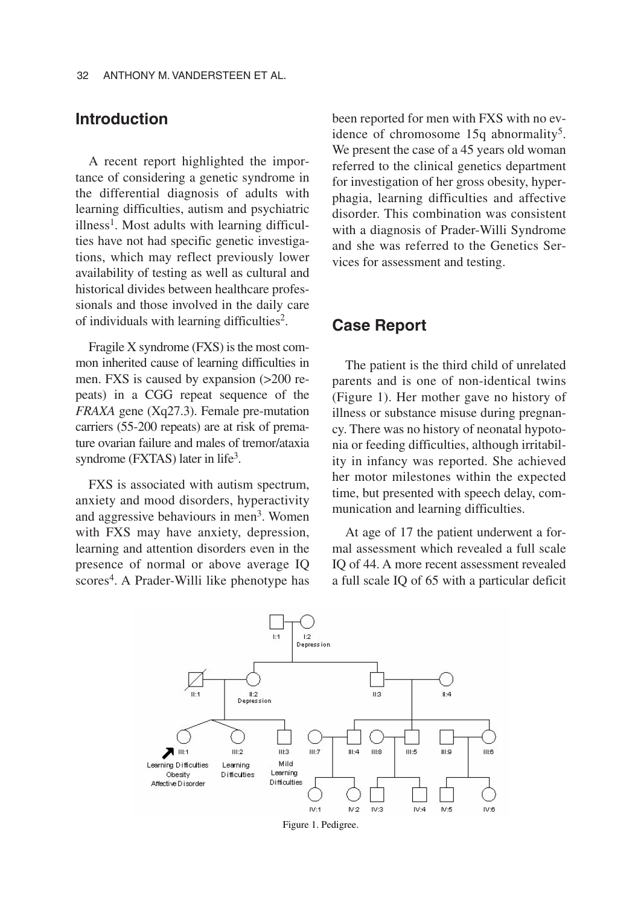### **Introduction**

A recent report highlighted the importance of considering a genetic syndrome in the differential diagnosis of adults with learning difficulties, autism and psychiatric  $\mu$ illness<sup>1</sup>. Most adults with learning difficulties have not had specific genetic investigations, which may reflect previously lower availability of testing as well as cultural and historical divides between healthcare professionals and those involved in the daily care of individuals with learning difficulties2.

Fragile X syndrome (FXS) is the most common inherited cause of learning difficulties in men. FXS is caused by expansion (>200 repeats) in a CGG repeat sequence of the *FRAXA* gene (Xq27.3). Female pre-mutation carriers (55-200 repeats) are at risk of premature ovarian failure and males of tremor/ataxia syndrome ( $\text{FXTAS}$ ) later in life<sup>3</sup>.

FXS is associated with autism spectrum, anxiety and mood disorders, hyperactivity and aggressive behaviours in men<sup>3</sup>. Women with FXS may have anxiety, depression, learning and attention disorders even in the presence of normal or above average IQ scores<sup>4</sup>. A Prader-Willi like phenotype has been reported for men with FXS with no evidence of chromosome 15q abnormality<sup>5</sup>. We present the case of a 45 years old woman referred to the clinical genetics department for investigation of her gross obesity, hyperphagia, learning difficulties and affective disorder. This combination was consistent with a diagnosis of Prader-Willi Syndrome and she was referred to the Genetics Services for assessment and testing.

#### **Case Report**

The patient is the third child of unrelated parents and is one of non-identical twins (Figure 1). Her mother gave no history of illness or substance misuse during pregnancy. There was no history of neonatal hypotonia or feeding difficulties, although irritability in infancy was reported. She achieved her motor milestones within the expected time, but presented with speech delay, communication and learning difficulties.

At age of 17 the patient underwent a formal assessment which revealed a full scale IQ of 44. A more recent assessment revealed a full scale IQ of 65 with a particular deficit



Figure 1. Pedigree.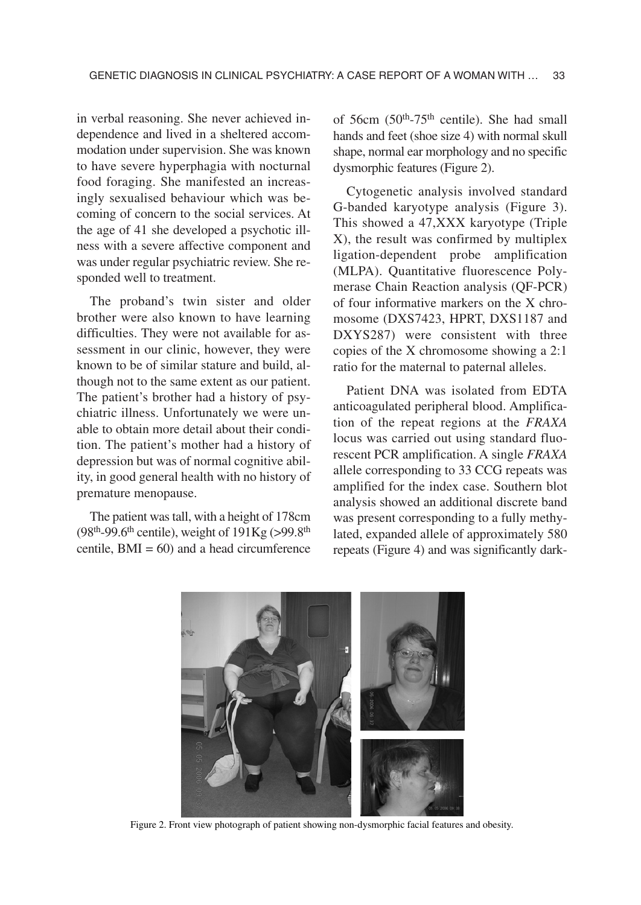in verbal reasoning. She never achieved independence and lived in a sheltered accommodation under supervision. She was known to have severe hyperphagia with nocturnal food foraging. She manifested an increasingly sexualised behaviour which was becoming of concern to the social services. At the age of 41 she developed a psychotic illness with a severe affective component and was under regular psychiatric review. She responded well to treatment.

The proband's twin sister and older brother were also known to have learning difficulties. They were not available for assessment in our clinic, however, they were known to be of similar stature and build, although not to the same extent as our patient. The patient's brother had a history of psychiatric illness. Unfortunately we were unable to obtain more detail about their condition. The patient's mother had a history of depression but was of normal cognitive ability, in good general health with no history of premature menopause.

The patient was tall, with a height of 178cm  $(98<sup>th</sup>-99.6<sup>th</sup>$  centile), weight of  $191Kg$  (>99.8<sup>th</sup>) centile,  $BMI = 60$  and a head circumference

of 56cm  $(50<sup>th</sup>-75<sup>th</sup>$  centile). She had small hands and feet (shoe size 4) with normal skull shape, normal ear morphology and no specific dysmorphic features (Figure 2).

Cytogenetic analysis involved standard G-banded karyotype analysis (Figure 3). This showed a 47,XXX karyotype (Triple X), the result was confirmed by multiplex ligation-dependent probe amplification (MLPA). Quantitative fluorescence Polymerase Chain Reaction analysis (QF-PCR) of four informative markers on the X chromosome (DXS7423, HPRT, DXS1187 and DXYS287) were consistent with three copies of the X chromosome showing a 2:1 ratio for the maternal to paternal alleles.

Patient DNA was isolated from EDTA anticoagulated peripheral blood. Amplification of the repeat regions at the *FRAXA* locus was carried out using standard fluorescent PCR amplification. A single *FRAXA* allele corresponding to 33 CCG repeats was amplified for the index case. Southern blot analysis showed an additional discrete band was present corresponding to a fully methylated, expanded allele of approximately 580 repeats (Figure 4) and was significantly dark-



Figure 2. Front view photograph of patient showing non-dysmorphic facial features and obesity.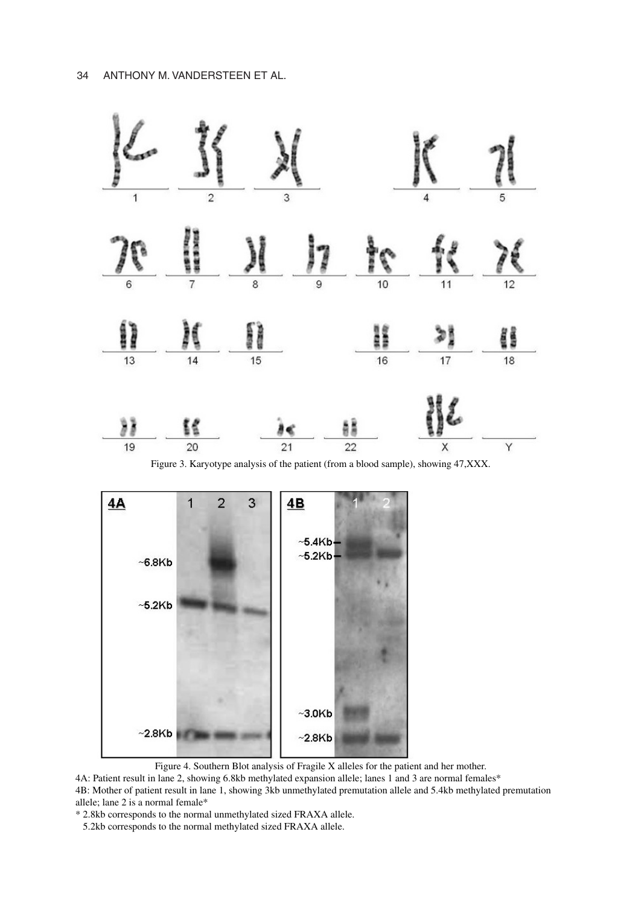

Figure 3. Karyotype analysis of the patient (from a blood sample), showing 47,XXX.



Figure 4. Southern Blot analysis of Fragile X alleles for the patient and her mother.

4A: Patient result in lane 2, showing 6.8kb methylated expansion allele; lanes 1 and 3 are normal females\*

4B: Mother of patient result in lane 1, showing 3kb unmethylated premutation allele and 5.4kb methylated premutation allele; lane 2 is a normal female\*

\* 2.8kb corresponds to the normal unmethylated sized FRAXA allele.

5.2kb corresponds to the normal methylated sized FRAXA allele.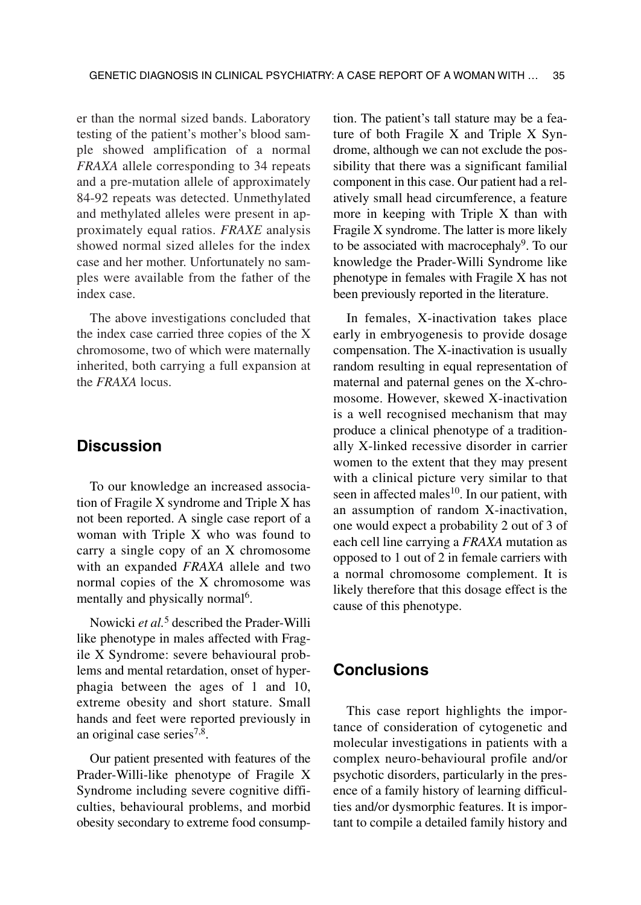er than the normal sized bands. Laboratory testing of the patient's mother's blood sample showed amplification of a normal *FRAXA* allele corresponding to 34 repeats and a pre-mutation allele of approximately 84-92 repeats was detected. Unmethylated and methylated alleles were present in approximately equal ratios. *FRAXE* analysis showed normal sized alleles for the index case and her mother. Unfortunately no samples were available from the father of the index case.

The above investigations concluded that the index case carried three copies of the X chromosome, two of which were maternally inherited, both carrying a full expansion at the *FRAXA* locus.

## **Discussion**

To our knowledge an increased association of Fragile X syndrome and Triple X has not been reported. A single case report of a woman with Triple X who was found to carry a single copy of an X chromosome with an expanded *FRAXA* allele and two normal copies of the X chromosome was mentally and physically normal<sup>6</sup>.

Nowicki *et al.*<sup>5</sup> described the Prader-Willi like phenotype in males affected with Fragile X Syndrome: severe behavioural problems and mental retardation, onset of hyperphagia between the ages of 1 and 10, extreme obesity and short stature. Small hands and feet were reported previously in an original case series<sup>7,8</sup>.

Our patient presented with features of the Prader-Willi-like phenotype of Fragile X Syndrome including severe cognitive difficulties, behavioural problems, and morbid obesity secondary to extreme food consumption. The patient's tall stature may be a feature of both Fragile X and Triple X Syndrome, although we can not exclude the possibility that there was a significant familial component in this case. Our patient had a relatively small head circumference, a feature more in keeping with Triple X than with Fragile X syndrome. The latter is more likely to be associated with macrocephaly<sup>9</sup>. To our knowledge the Prader-Willi Syndrome like phenotype in females with Fragile X has not been previously reported in the literature.

In females, X-inactivation takes place early in embryogenesis to provide dosage compensation. The X-inactivation is usually random resulting in equal representation of maternal and paternal genes on the X-chromosome. However, skewed X-inactivation is a well recognised mechanism that may produce a clinical phenotype of a traditionally X-linked recessive disorder in carrier women to the extent that they may present with a clinical picture very similar to that seen in affected males $10$ . In our patient, with an assumption of random X-inactivation, one would expect a probability 2 out of 3 of each cell line carrying a *FRAXA* mutation as opposed to 1 out of 2 in female carriers with a normal chromosome complement. It is likely therefore that this dosage effect is the cause of this phenotype.

#### **Conclusions**

This case report highlights the importance of consideration of cytogenetic and molecular investigations in patients with a complex neuro-behavioural profile and/or psychotic disorders, particularly in the presence of a family history of learning difficulties and/or dysmorphic features. It is important to compile a detailed family history and